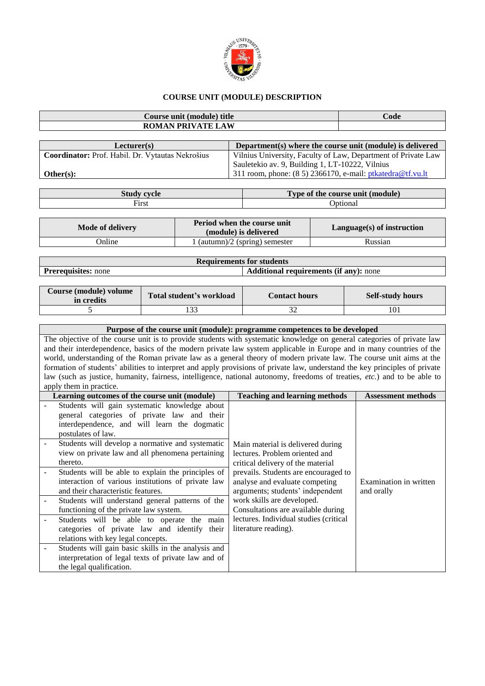

## **COURSE UNIT (MODULE) DESCRIPTION**

| Course unit (module) title | Code |
|----------------------------|------|
| <b>ROMAN PRIVATE LAW</b>   |      |
|                            |      |

| Lecturer(s)                                      | Department(s) where the course unit (module) is delivered     |
|--------------------------------------------------|---------------------------------------------------------------|
| Coordinator: Prof. Habil. Dr. Vytautas Nekrošius | Vilnius University, Faculty of Law, Department of Private Law |
|                                                  | Sauletekio av. 9, Building 1, LT-10222, Vilnius               |
| Other(s):                                        | 311 room, phone: $(8\ 5)$ 2366170, e-mail: ptkatedra@tf.vu.lt |

| <b>Study cycle</b> | Type of the course unit (module) |
|--------------------|----------------------------------|
| Fix                | <b>Intiona</b>                   |

| Mode of delivery | Period when the course unit<br>(module) is delivered | $Language(s)$ of instruction |
|------------------|------------------------------------------------------|------------------------------|
| Online           | $1$ (autumn)/2 (spring) semester                     | Russian                      |

| <b>Requirements for students</b>                                            |  |  |  |  |
|-----------------------------------------------------------------------------|--|--|--|--|
| <b>Additional requirements (if any):</b> none<br><b>Prerequisites:</b> none |  |  |  |  |
|                                                                             |  |  |  |  |

| Course (module) volume<br>in credits | Total student's workload | <b>Contact hours</b> | <b>Self-study hours</b> |
|--------------------------------------|--------------------------|----------------------|-------------------------|
|                                      | $\Omega$                 |                      |                         |

| Purpose of the course unit (module): programme competences to be developed                                                  |                           |
|-----------------------------------------------------------------------------------------------------------------------------|---------------------------|
| The objective of the course unit is to provide students with systematic knowledge on general categories of private law      |                           |
| and their interdependence, basics of the modern private law system applicable in Europe and in many countries of the        |                           |
| world, understanding of the Roman private law as a general theory of modern private law. The course unit aims at the        |                           |
| formation of students' abilities to interpret and apply provisions of private law, understand the key principles of private |                           |
| law (such as justice, humanity, fairness, intelligence, national autonomy, freedoms of treaties, etc.) and to be able to    |                           |
| apply them in practice.                                                                                                     |                           |
| Learning outcomes of the course unit (module)<br><b>Teaching and learning methods</b>                                       | <b>Assessment methods</b> |
| Students will gain systematic knowledge about                                                                               |                           |
| general categories of private law and their                                                                                 |                           |
| interdependence, and will learn the dogmatic                                                                                |                           |
| postulates of law.                                                                                                          |                           |
| Students will develop a normative and systematic<br>Main material is delivered during                                       |                           |
| view on private law and all phenomena pertaining<br>lectures. Problem oriented and                                          |                           |
| thereto.<br>critical delivery of the material                                                                               |                           |
| Students will be able to explain the principles of<br>prevails. Students are encouraged to                                  |                           |
| interaction of various institutions of private law<br>analyse and evaluate competing                                        | Examination in written    |
| and their characteristic features.<br>arguments; students' independent                                                      | and orally                |
| work skills are developed.<br>Students will understand general patterns of the                                              |                           |
| Consultations are available during<br>functioning of the private law system.                                                |                           |
| lectures. Individual studies (critical<br>Students will be able to operate the<br>main                                      |                           |

| categories of private law and identify their literature reading). |  |
|-------------------------------------------------------------------|--|
| relations with key legal concepts.                                |  |
| Students will gain basic skills in the analysis and               |  |
| interpretation of legal texts of private law and of               |  |
| the legal qualification.                                          |  |